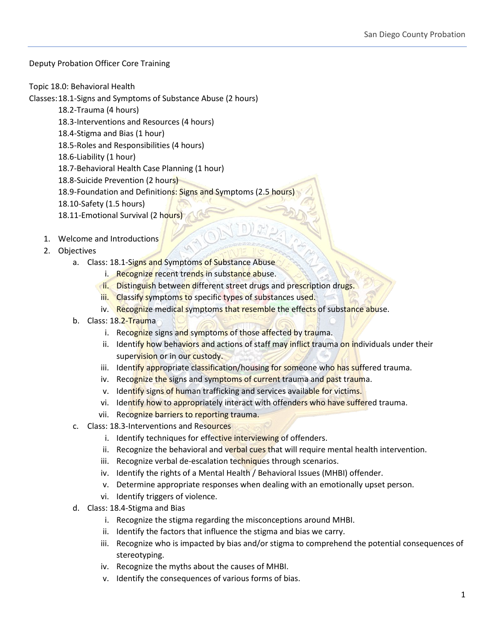## Deputy Probation Officer Core Training

## Topic 18.0: Behavioral Health

Classes:18.1-Signs and Symptoms of Substance Abuse (2 hours)

- 18.2-Trauma (4 hours)
- 18.3-Interventions and Resources (4 hours)
- 18.4-Stigma and Bias (1 hour)
- 18.5-Roles and Responsibilities (4 hours)
- 18.6-Liability (1 hour)
- 18.7-Behavioral Health Case Planning (1 hour)
- 18.8-Suicide Prevention (2 hours)
- 18.9-Foundation and Definitions: Signs and Symptoms (2.5 hours)
- 18.10-Safety (1.5 hours)
- 18.11-Emotional Survival (2 hours)
- 1. Welcome and Introductions
- 2. Objectives
	- a. Class: 18.1-Signs and Symptoms of Substance Abuse
		- i. Recognize recent trends in substance abuse.
		- **ii.** Distinguish between different street drugs and prescription drugs.
			- iii. Classify symptoms to specific types of substances used.
			- iv. Recognize medical symptoms that resemble the effects of substance abuse.
	- b. Class: 18.2-Trauma
		- i. Recognize signs and symptoms of those affected by trauma.
		- ii. Identify how behaviors and actions of staff may inflict trauma on individuals under their supervision or in our custody.
		- iii. Identify appropriate classification/housing for someone who has suffered trauma.
		- iv. Recognize the signs and symptoms of current trauma and past trauma.
		- v. Identify signs of human trafficking and services available for victims.
		- vi. Identify how to appropriately interact with offenders who have suffered trauma.
		- vii. Recognize barriers to reporting trauma.
	- c. Class: 18.3-Interventions and Resources
		- i. Identify techniques for effective interviewing of offenders.
		- ii. Recognize the behavioral and verbal cues that will require mental health intervention.
		- iii. Recognize verbal de-escalation techniques through scenarios.
		- iv. Identify the rights of a Mental Health / Behavioral Issues (MHBI) offender.
		- v. Determine appropriate responses when dealing with an emotionally upset person.
		- vi. Identify triggers of violence.
	- d. Class: 18.4-Stigma and Bias
		- i. Recognize the stigma regarding the misconceptions around MHBI.
		- ii. Identify the factors that influence the stigma and bias we carry.
		- iii. Recognize who is impacted by bias and/or stigma to comprehend the potential consequences of stereotyping.
		- iv. Recognize the myths about the causes of MHBI.
		- v. Identify the consequences of various forms of bias.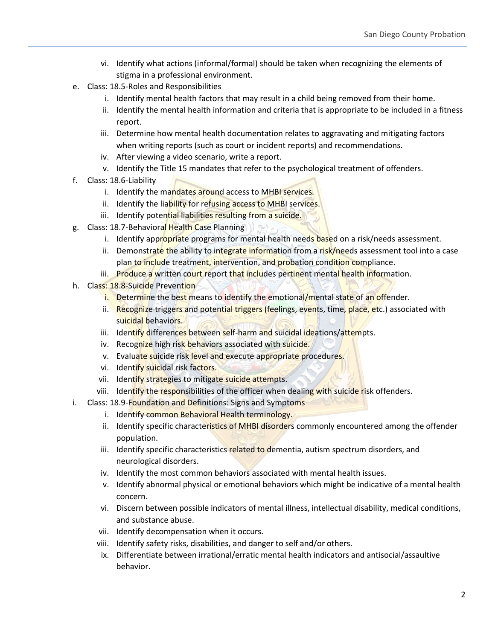- vi. Identify what actions (informal/formal) should be taken when recognizing the elements of stigma in a professional environment.
- e. Class: 18.5-Roles and Responsibilities
	- i. Identify mental health factors that may result in a child being removed from their home.
	- ii. Identify the mental health information and criteria that is appropriate to be included in a fitness report.
	- iii. Determine how mental health documentation relates to aggravating and mitigating factors when writing reports (such as court or incident reports) and recommendations.
	- iv. After viewing a video scenario, write a report.
	- v. Identify the Title 15 mandates that refer to the psychological treatment of offenders.
- f. Class: 18.6-Liability
	- i. Identify the mandates around access to MHBI services.
	- ii. Identify the liability for refusing access to MHBI services.
	- iii. Identify potential liabilities resulting from a suicide.
- g. Class: 18.7-Behavioral Health Case Planning  $1775$ 
	- i. Identify appropriate programs for mental health needs based on a risk/needs assessment.
	- ii. Demonstrate the ability to integrate information from a risk/needs assessment tool into a case plan to include treatment, intervention, and probation condition compliance.
	- iii. Produce a written court report that includes pertinent mental health information.
- h. Class: 18.8-Suicide Prevention
	- i. Determine the best means to identify the emotional/mental state of an offender.
	- ii. Recognize triggers and potential triggers (feelings, events, time, place, etc.) associated with suicidal behaviors.
	- iii. Identify differences between self-harm and suicidal ideations/attempts.
	- iv. Recognize high risk behaviors associated with suicide.
	- v. Evaluate suicide risk level and execute appropriate procedures.
	- vi. Identify suicidal risk factors.
	- vii. Identify strategies to mitigate suicide attempts.
	- viii. Identify the responsibilities of the officer when dealing with suicide risk offenders.
- i. Class: 18.9-Foundation and Definitions: Signs and Symptoms
	- i. Identify common Behavioral Health terminology.
	- ii. Identify specific characteristics of MHBI disorders commonly encountered among the offender population.
	- iii. Identify specific characteristics related to dementia, autism spectrum disorders, and neurological disorders.
	- iv. Identify the most common behaviors associated with mental health issues.
	- v. Identify abnormal physical or emotional behaviors which might be indicative of a mental health concern.
	- vi. Discern between possible indicators of mental illness, intellectual disability, medical conditions, and substance abuse.
	- vii. Identify decompensation when it occurs.
	- viii. Identify safety risks, disabilities, and danger to self and/or others.
	- ix. Differentiate between irrational/erratic mental health indicators and antisocial/assaultive behavior.